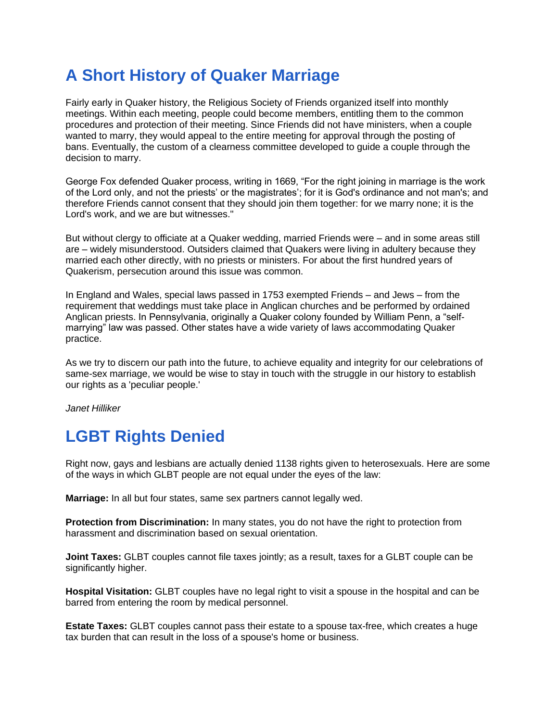# **A Short History of Quaker Marriage**

Fairly early in Quaker history, the Religious Society of Friends organized itself into monthly meetings. Within each meeting, people could become members, entitling them to the common procedures and protection of their meeting. Since Friends did not have ministers, when a couple wanted to marry, they would appeal to the entire meeting for approval through the posting of bans. Eventually, the custom of a clearness committee developed to guide a couple through the decision to marry.

George Fox defended Quaker process, writing in 1669, "For the right joining in marriage is the work of the Lord only, and not the priests' or the magistrates'; for it is God's ordinance and not man's; and therefore Friends cannot consent that they should join them together: for we marry none; it is the Lord's work, and we are but witnesses."

But without clergy to officiate at a Quaker wedding, married Friends were – and in some areas still are – widely misunderstood. Outsiders claimed that Quakers were living in adultery because they married each other directly, with no priests or ministers. For about the first hundred years of Quakerism, persecution around this issue was common.

In England and Wales, special laws passed in 1753 exempted Friends – and Jews – from the requirement that weddings must take place in Anglican churches and be performed by ordained Anglican priests. In Pennsylvania, originally a Quaker colony founded by William Penn, a "selfmarrying" law was passed. Other states have a wide variety of laws accommodating Quaker practice.

As we try to discern our path into the future, to achieve equality and integrity for our celebrations of same-sex marriage, we would be wise to stay in touch with the struggle in our history to establish our rights as a 'peculiar people.'

*Janet Hilliker*

## **LGBT Rights Denied**

Right now, gays and lesbians are actually denied 1138 rights given to heterosexuals. Here are some of the ways in which GLBT people are not equal under the eyes of the law:

**Marriage:** In all but four states, same sex partners cannot legally wed.

**Protection from Discrimination:** In many states, you do not have the right to protection from harassment and discrimination based on sexual orientation.

**Joint Taxes:** GLBT couples cannot file taxes jointly; as a result, taxes for a GLBT couple can be significantly higher.

**Hospital Visitation:** GLBT couples have no legal right to visit a spouse in the hospital and can be barred from entering the room by medical personnel.

**Estate Taxes:** GLBT couples cannot pass their estate to a spouse tax-free, which creates a huge tax burden that can result in the loss of a spouse's home or business.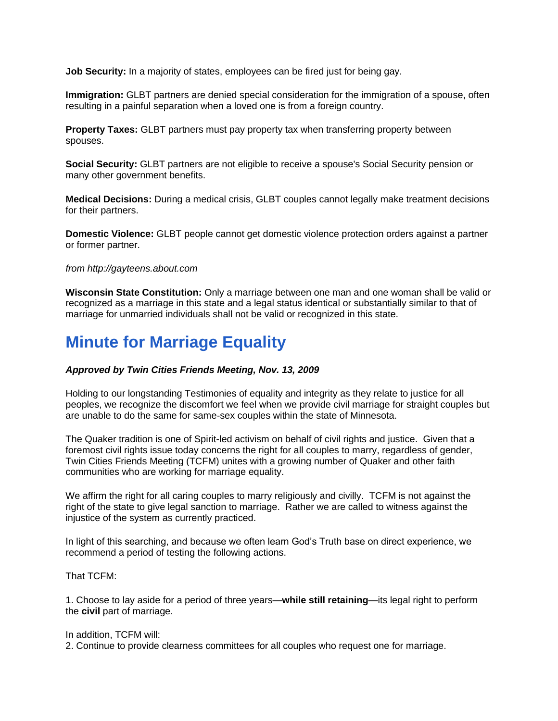**Job Security:** In a majority of states, employees can be fired just for being gay.

**Immigration:** GLBT partners are denied special consideration for the immigration of a spouse, often resulting in a painful separation when a loved one is from a foreign country.

**Property Taxes:** GLBT partners must pay property tax when transferring property between spouses.

**Social Security:** GLBT partners are not eligible to receive a spouse's Social Security pension or many other government benefits.

**Medical Decisions:** During a medical crisis, GLBT couples cannot legally make treatment decisions for their partners.

**Domestic Violence:** GLBT people cannot get domestic violence protection orders against a partner or former partner.

### *from http://gayteens.about.com*

**Wisconsin State Constitution:** Only a marriage between one man and one woman shall be valid or recognized as a marriage in this state and a legal status identical or substantially similar to that of marriage for unmarried individuals shall not be valid or recognized in this state.

## **Minute for Marriage Equality**

### *Approved by Twin Cities Friends Meeting, Nov. 13, 2009*

Holding to our longstanding Testimonies of equality and integrity as they relate to justice for all peoples, we recognize the discomfort we feel when we provide civil marriage for straight couples but are unable to do the same for same-sex couples within the state of Minnesota.

The Quaker tradition is one of Spirit-led activism on behalf of civil rights and justice. Given that a foremost civil rights issue today concerns the right for all couples to marry, regardless of gender, Twin Cities Friends Meeting (TCFM) unites with a growing number of Quaker and other faith communities who are working for marriage equality.

We affirm the right for all caring couples to marry religiously and civilly. TCFM is not against the right of the state to give legal sanction to marriage. Rather we are called to witness against the injustice of the system as currently practiced.

In light of this searching, and because we often learn God's Truth base on direct experience, we recommend a period of testing the following actions.

That TCFM:

1. Choose to lay aside for a period of three years—**while still retaining**—its legal right to perform the **civil** part of marriage.

#### In addition, TCFM will:

2. Continue to provide clearness committees for all couples who request one for marriage.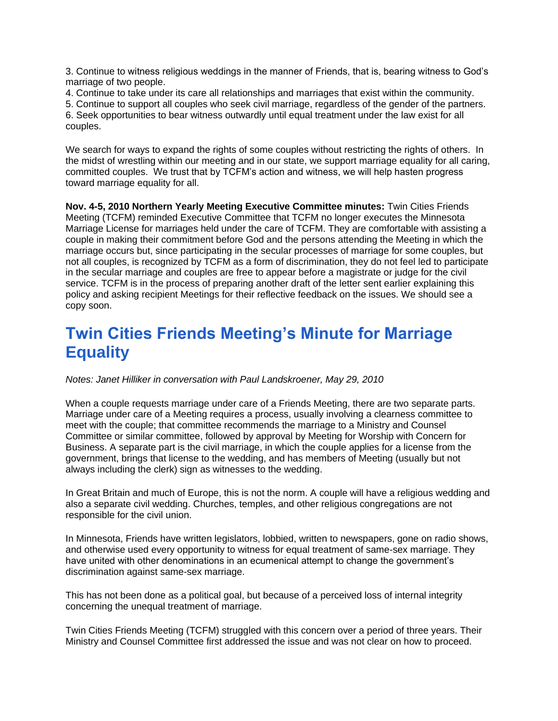3. Continue to witness religious weddings in the manner of Friends, that is, bearing witness to God's marriage of two people.

4. Continue to take under its care all relationships and marriages that exist within the community.

5. Continue to support all couples who seek civil marriage, regardless of the gender of the partners. 6. Seek opportunities to bear witness outwardly until equal treatment under the law exist for all couples.

We search for ways to expand the rights of some couples without restricting the rights of others. In the midst of wrestling within our meeting and in our state, we support marriage equality for all caring, committed couples. We trust that by TCFM's action and witness, we will help hasten progress toward marriage equality for all.

**Nov. 4-5, 2010 Northern Yearly Meeting Executive Committee minutes:** Twin Cities Friends Meeting (TCFM) reminded Executive Committee that TCFM no longer executes the Minnesota Marriage License for marriages held under the care of TCFM. They are comfortable with assisting a couple in making their commitment before God and the persons attending the Meeting in which the marriage occurs but, since participating in the secular processes of marriage for some couples, but not all couples, is recognized by TCFM as a form of discrimination, they do not feel led to participate in the secular marriage and couples are free to appear before a magistrate or judge for the civil service. TCFM is in the process of preparing another draft of the letter sent earlier explaining this policy and asking recipient Meetings for their reflective feedback on the issues. We should see a copy soon.

## **Twin Cities Friends Meeting's Minute for Marriage Equality**

*Notes: Janet Hilliker in conversation with Paul Landskroener, May 29, 2010*

When a couple requests marriage under care of a Friends Meeting, there are two separate parts. Marriage under care of a Meeting requires a process, usually involving a clearness committee to meet with the couple; that committee recommends the marriage to a Ministry and Counsel Committee or similar committee, followed by approval by Meeting for Worship with Concern for Business. A separate part is the civil marriage, in which the couple applies for a license from the government, brings that license to the wedding, and has members of Meeting (usually but not always including the clerk) sign as witnesses to the wedding.

In Great Britain and much of Europe, this is not the norm. A couple will have a religious wedding and also a separate civil wedding. Churches, temples, and other religious congregations are not responsible for the civil union.

In Minnesota, Friends have written legislators, lobbied, written to newspapers, gone on radio shows, and otherwise used every opportunity to witness for equal treatment of same-sex marriage. They have united with other denominations in an ecumenical attempt to change the government's discrimination against same-sex marriage.

This has not been done as a political goal, but because of a perceived loss of internal integrity concerning the unequal treatment of marriage.

Twin Cities Friends Meeting (TCFM) struggled with this concern over a period of three years. Their Ministry and Counsel Committee first addressed the issue and was not clear on how to proceed.